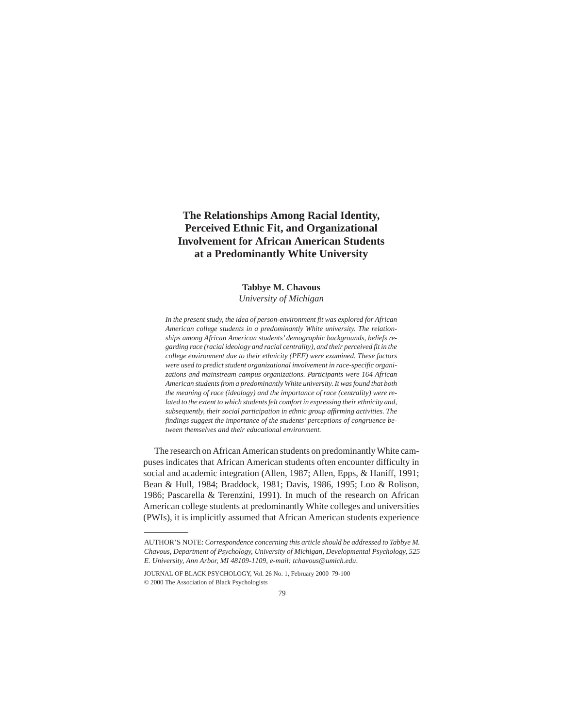## **The Relationships Among Racial Identity, Perceived Ethnic Fit, and Organizational Involvement for African American Students at a Predominantly White University**

# **Tabbye M. Chavous**

*University of Michigan*

*In the present study, the idea of person-environment fit was explored for African American college students in a predominantly White university. The relationships among African American students' demographic backgrounds, beliefs regarding race (racial ideology and racial centrality), and their perceived fit in the college environment due to their ethnicity (PEF) were examined. These factors were used to predict student organizational involvement in race-specific organizations and mainstream campus organizations. Participants were 164 African American students from a predominantly White university. It was found that both the meaning of race (ideology) and the importance of race (centrality) were related to the extent to which students felt comfort in expressing their ethnicity and, subsequently, their social participation in ethnic group affirming activities. The findings suggest the importance of the students' perceptions of congruence between themselves and their educational environment.*

The research on African American students on predominantly White campuses indicates that African American students often encounter difficulty in social and academic integration (Allen, 1987; Allen, Epps, & Haniff, 1991; Bean & Hull, 1984; Braddock, 1981; Davis, 1986, 1995; Loo & Rolison, 1986; Pascarella & Terenzini, 1991). In much of the research on African American college students at predominantly White colleges and universities (PWIs), it is implicitly assumed that African American students experience

AUTHOR'S NOTE: *Correspondence concerning this article should be addressed to Tabbye M. Chavous, Department of Psychology, University of Michigan, Developmental Psychology, 525 E. University, Ann Arbor, MI 48109-1109, e-mail: tchavous@umich.edu*.

JOURNAL OF BLACK PSYCHOLOGY, Vol. 26 No. 1, February 2000 79-100 © 2000 The Association of Black Psychologists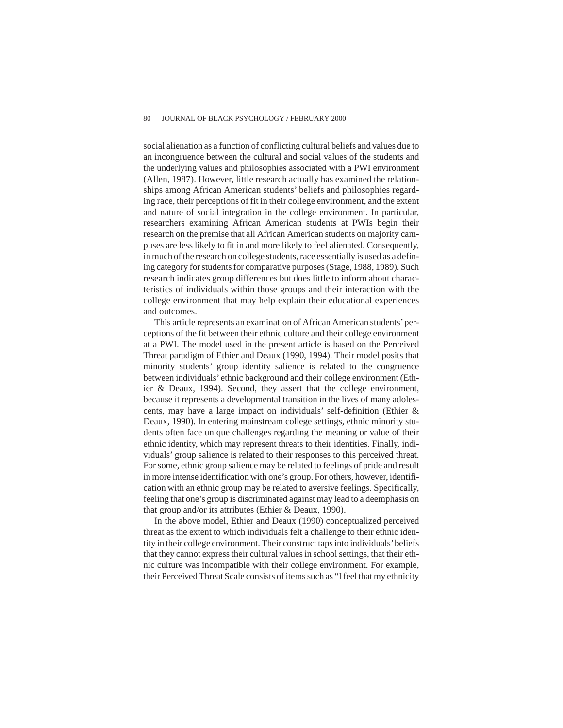social alienation as a function of conflicting cultural beliefs and values due to an incongruence between the cultural and social values of the students and the underlying values and philosophies associated with a PWI environment (Allen, 1987). However, little research actually has examined the relationships among African American students' beliefs and philosophies regarding race, their perceptions of fit in their college environment, and the extent and nature of social integration in the college environment. In particular, researchers examining African American students at PWIs begin their research on the premise that all African American students on majority campuses are less likely to fit in and more likely to feel alienated. Consequently, in much of the research on college students, race essentially is used as a defining category for students for comparative purposes (Stage, 1988, 1989). Such research indicates group differences but does little to inform about characteristics of individuals within those groups and their interaction with the college environment that may help explain their educational experiences and outcomes.

This article represents an examination of African American students'perceptions of the fit between their ethnic culture and their college environment at a PWI. The model used in the present article is based on the Perceived Threat paradigm of Ethier and Deaux (1990, 1994). Their model posits that minority students' group identity salience is related to the congruence between individuals' ethnic background and their college environment (Ethier & Deaux, 1994). Second, they assert that the college environment, because it represents a developmental transition in the lives of many adolescents, may have a large impact on individuals' self-definition (Ethier & Deaux, 1990). In entering mainstream college settings, ethnic minority students often face unique challenges regarding the meaning or value of their ethnic identity, which may represent threats to their identities. Finally, individuals' group salience is related to their responses to this perceived threat. For some, ethnic group salience may be related to feelings of pride and result in more intense identification with one's group. For others, however, identification with an ethnic group may be related to aversive feelings. Specifically, feeling that one's group is discriminated against may lead to a deemphasis on that group and/or its attributes (Ethier & Deaux, 1990).

In the above model, Ethier and Deaux (1990) conceptualized perceived threat as the extent to which individuals felt a challenge to their ethnic identity in their college environment. Their construct taps into individuals'beliefs that they cannot express their cultural values in school settings, that their ethnic culture was incompatible with their college environment. For example, their Perceived Threat Scale consists of items such as "I feel that my ethnicity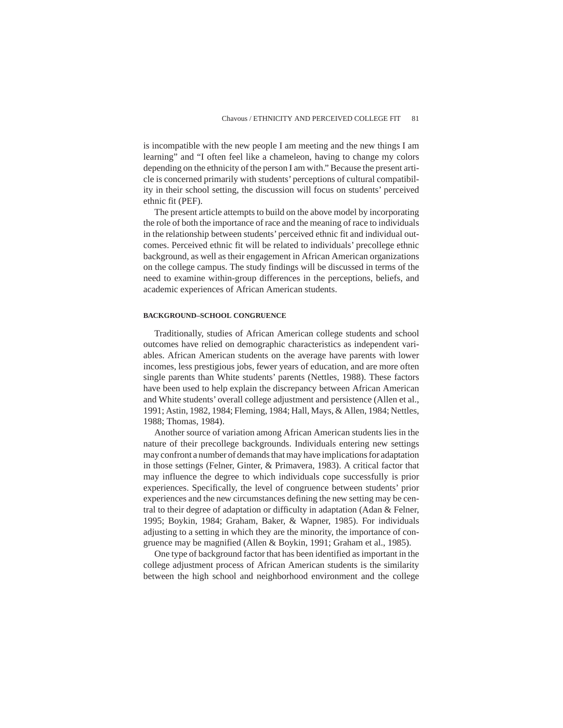is incompatible with the new people I am meeting and the new things I am learning" and "I often feel like a chameleon, having to change my colors depending on the ethnicity of the person I am with." Because the present article is concerned primarily with students' perceptions of cultural compatibility in their school setting, the discussion will focus on students' perceived ethnic fit (PEF).

The present article attempts to build on the above model by incorporating the role of both the importance of race and the meaning of race to individuals in the relationship between students' perceived ethnic fit and individual outcomes. Perceived ethnic fit will be related to individuals' precollege ethnic background, as well as their engagement in African American organizations on the college campus. The study findings will be discussed in terms of the need to examine within-group differences in the perceptions, beliefs, and academic experiences of African American students.

#### **BACKGROUND–SCHOOL CONGRUENCE**

Traditionally, studies of African American college students and school outcomes have relied on demographic characteristics as independent variables. African American students on the average have parents with lower incomes, less prestigious jobs, fewer years of education, and are more often single parents than White students' parents (Nettles, 1988). These factors have been used to help explain the discrepancy between African American and White students' overall college adjustment and persistence (Allen et al., 1991; Astin, 1982, 1984; Fleming, 1984; Hall, Mays, & Allen, 1984; Nettles, 1988; Thomas, 1984).

Another source of variation among African American students lies in the nature of their precollege backgrounds. Individuals entering new settings may confront a number of demands that may have implications for adaptation in those settings (Felner, Ginter, & Primavera, 1983). A critical factor that may influence the degree to which individuals cope successfully is prior experiences. Specifically, the level of congruence between students' prior experiences and the new circumstances defining the new setting may be central to their degree of adaptation or difficulty in adaptation (Adan & Felner, 1995; Boykin, 1984; Graham, Baker, & Wapner, 1985). For individuals adjusting to a setting in which they are the minority, the importance of congruence may be magnified (Allen & Boykin, 1991; Graham et al., 1985).

One type of background factor that has been identified as important in the college adjustment process of African American students is the similarity between the high school and neighborhood environment and the college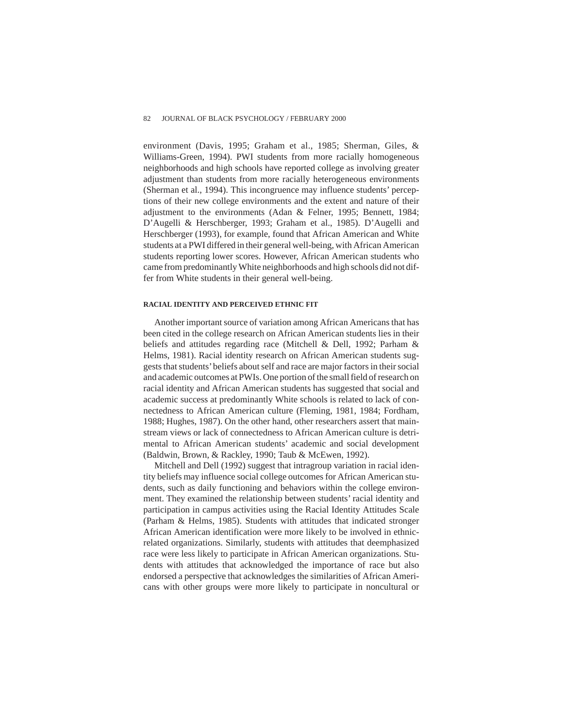environment (Davis, 1995; Graham et al., 1985; Sherman, Giles, & Williams-Green, 1994). PWI students from more racially homogeneous neighborhoods and high schools have reported college as involving greater adjustment than students from more racially heterogeneous environments (Sherman et al., 1994). This incongruence may influence students' perceptions of their new college environments and the extent and nature of their adjustment to the environments (Adan & Felner, 1995; Bennett, 1984; D'Augelli & Herschberger, 1993; Graham et al., 1985). D'Augelli and Herschberger (1993), for example, found that African American and White students at a PWI differed in their general well-being, with African American students reporting lower scores. However, African American students who came from predominantly White neighborhoods and high schools did not differ from White students in their general well-being.

## **RACIAL IDENTITY AND PERCEIVED ETHNIC FIT**

Another important source of variation among African Americans that has been cited in the college research on African American students lies in their beliefs and attitudes regarding race (Mitchell & Dell, 1992; Parham & Helms, 1981). Racial identity research on African American students suggests that students'beliefs about self and race are major factors in their social and academic outcomes at PWIs. One portion of the small field of research on racial identity and African American students has suggested that social and academic success at predominantly White schools is related to lack of connectedness to African American culture (Fleming, 1981, 1984; Fordham, 1988; Hughes, 1987). On the other hand, other researchers assert that mainstream views or lack of connectedness to African American culture is detrimental to African American students' academic and social development (Baldwin, Brown, & Rackley, 1990; Taub & McEwen, 1992).

Mitchell and Dell (1992) suggest that intragroup variation in racial identity beliefs may influence social college outcomes for African American students, such as daily functioning and behaviors within the college environment. They examined the relationship between students' racial identity and participation in campus activities using the Racial Identity Attitudes Scale (Parham & Helms, 1985). Students with attitudes that indicated stronger African American identification were more likely to be involved in ethnicrelated organizations. Similarly, students with attitudes that deemphasized race were less likely to participate in African American organizations. Students with attitudes that acknowledged the importance of race but also endorsed a perspective that acknowledges the similarities of African Americans with other groups were more likely to participate in noncultural or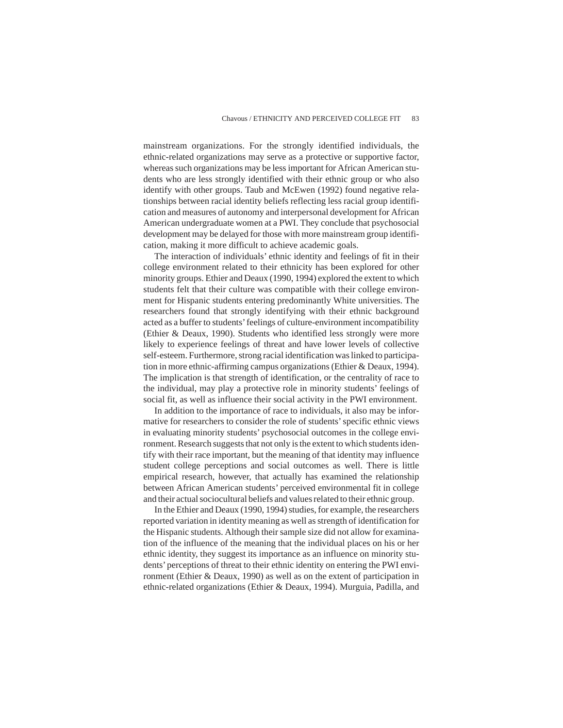mainstream organizations. For the strongly identified individuals, the ethnic-related organizations may serve as a protective or supportive factor, whereas such organizations may be less important for African American students who are less strongly identified with their ethnic group or who also identify with other groups. Taub and McEwen (1992) found negative relationships between racial identity beliefs reflecting less racial group identification and measures of autonomy and interpersonal development for African American undergraduate women at a PWI. They conclude that psychosocial development may be delayed for those with more mainstream group identification, making it more difficult to achieve academic goals.

The interaction of individuals' ethnic identity and feelings of fit in their college environment related to their ethnicity has been explored for other minority groups. Ethier and Deaux (1990, 1994) explored the extent to which students felt that their culture was compatible with their college environment for Hispanic students entering predominantly White universities. The researchers found that strongly identifying with their ethnic background acted as a buffer to students'feelings of culture-environment incompatibility (Ethier & Deaux, 1990). Students who identified less strongly were more likely to experience feelings of threat and have lower levels of collective self-esteem. Furthermore, strong racial identification was linked to participation in more ethnic-affirming campus organizations (Ethier & Deaux, 1994). The implication is that strength of identification, or the centrality of race to the individual, may play a protective role in minority students' feelings of social fit, as well as influence their social activity in the PWI environment.

In addition to the importance of race to individuals, it also may be informative for researchers to consider the role of students' specific ethnic views in evaluating minority students' psychosocial outcomes in the college environment. Research suggests that not only is the extent to which students identify with their race important, but the meaning of that identity may influence student college perceptions and social outcomes as well. There is little empirical research, however, that actually has examined the relationship between African American students' perceived environmental fit in college and their actual sociocultural beliefs and values related to their ethnic group.

In the Ethier and Deaux (1990, 1994) studies, for example, the researchers reported variation in identity meaning as well as strength of identification for the Hispanic students. Although their sample size did not allow for examination of the influence of the meaning that the individual places on his or her ethnic identity, they suggest its importance as an influence on minority students' perceptions of threat to their ethnic identity on entering the PWI environment (Ethier & Deaux, 1990) as well as on the extent of participation in ethnic-related organizations (Ethier & Deaux, 1994). Murguia, Padilla, and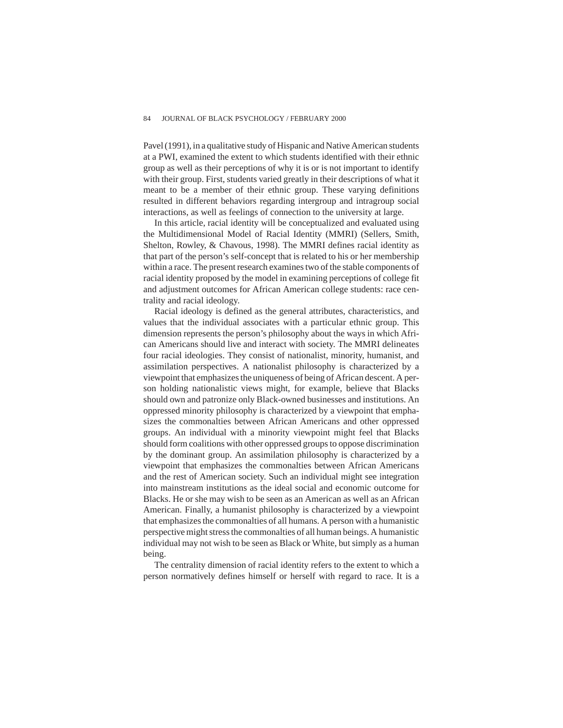Pavel (1991), in a qualitative study of Hispanic and Native American students at a PWI, examined the extent to which students identified with their ethnic group as well as their perceptions of why it is or is not important to identify with their group. First, students varied greatly in their descriptions of what it meant to be a member of their ethnic group. These varying definitions resulted in different behaviors regarding intergroup and intragroup social interactions, as well as feelings of connection to the university at large.

In this article, racial identity will be conceptualized and evaluated using the Multidimensional Model of Racial Identity (MMRI) (Sellers, Smith, Shelton, Rowley, & Chavous, 1998). The MMRI defines racial identity as that part of the person's self-concept that is related to his or her membership within a race. The present research examines two of the stable components of racial identity proposed by the model in examining perceptions of college fit and adjustment outcomes for African American college students: race centrality and racial ideology.

Racial ideology is defined as the general attributes, characteristics, and values that the individual associates with a particular ethnic group. This dimension represents the person's philosophy about the ways in which African Americans should live and interact with society. The MMRI delineates four racial ideologies. They consist of nationalist, minority, humanist, and assimilation perspectives. A nationalist philosophy is characterized by a viewpoint that emphasizes the uniqueness of being of African descent. A person holding nationalistic views might, for example, believe that Blacks should own and patronize only Black-owned businesses and institutions. An oppressed minority philosophy is characterized by a viewpoint that emphasizes the commonalties between African Americans and other oppressed groups. An individual with a minority viewpoint might feel that Blacks should form coalitions with other oppressed groups to oppose discrimination by the dominant group. An assimilation philosophy is characterized by a viewpoint that emphasizes the commonalties between African Americans and the rest of American society. Such an individual might see integration into mainstream institutions as the ideal social and economic outcome for Blacks. He or she may wish to be seen as an American as well as an African American. Finally, a humanist philosophy is characterized by a viewpoint that emphasizes the commonalties of all humans. A person with a humanistic perspective might stress the commonalties of all human beings. A humanistic individual may not wish to be seen as Black or White, but simply as a human being.

The centrality dimension of racial identity refers to the extent to which a person normatively defines himself or herself with regard to race. It is a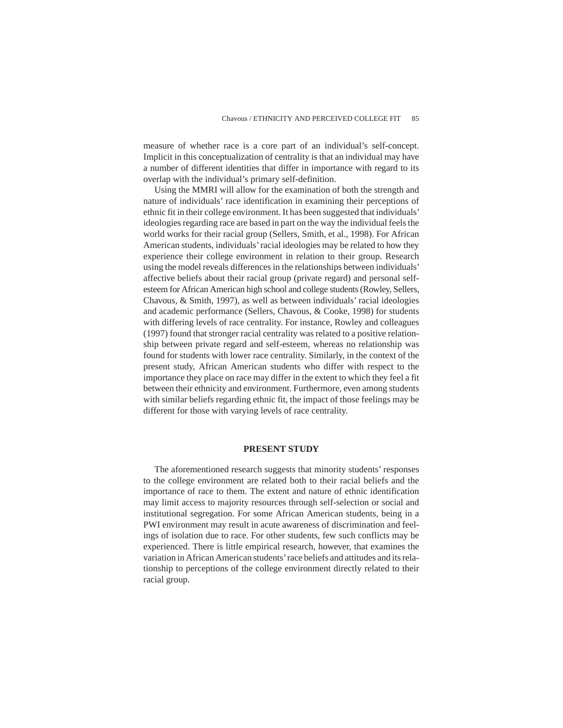measure of whether race is a core part of an individual's self-concept. Implicit in this conceptualization of centrality is that an individual may have a number of different identities that differ in importance with regard to its overlap with the individual's primary self-definition.

Using the MMRI will allow for the examination of both the strength and nature of individuals' race identification in examining their perceptions of ethnic fit in their college environment. It has been suggested that individuals' ideologies regarding race are based in part on the way the individual feels the world works for their racial group (Sellers, Smith, et al., 1998). For African American students, individuals'racial ideologies may be related to how they experience their college environment in relation to their group. Research using the model reveals differences in the relationships between individuals' affective beliefs about their racial group (private regard) and personal selfesteem for African American high school and college students (Rowley, Sellers, Chavous, & Smith, 1997), as well as between individuals' racial ideologies and academic performance (Sellers, Chavous, & Cooke, 1998) for students with differing levels of race centrality. For instance, Rowley and colleagues (1997) found that stronger racial centrality was related to a positive relationship between private regard and self-esteem, whereas no relationship was found for students with lower race centrality. Similarly, in the context of the present study, African American students who differ with respect to the importance they place on race may differ in the extent to which they feel a fit between their ethnicity and environment. Furthermore, even among students with similar beliefs regarding ethnic fit, the impact of those feelings may be different for those with varying levels of race centrality.

## **PRESENT STUDY**

The aforementioned research suggests that minority students' responses to the college environment are related both to their racial beliefs and the importance of race to them. The extent and nature of ethnic identification may limit access to majority resources through self-selection or social and institutional segregation. For some African American students, being in a PWI environment may result in acute awareness of discrimination and feelings of isolation due to race. For other students, few such conflicts may be experienced. There is little empirical research, however, that examines the variation in African American students'race beliefs and attitudes and its relationship to perceptions of the college environment directly related to their racial group.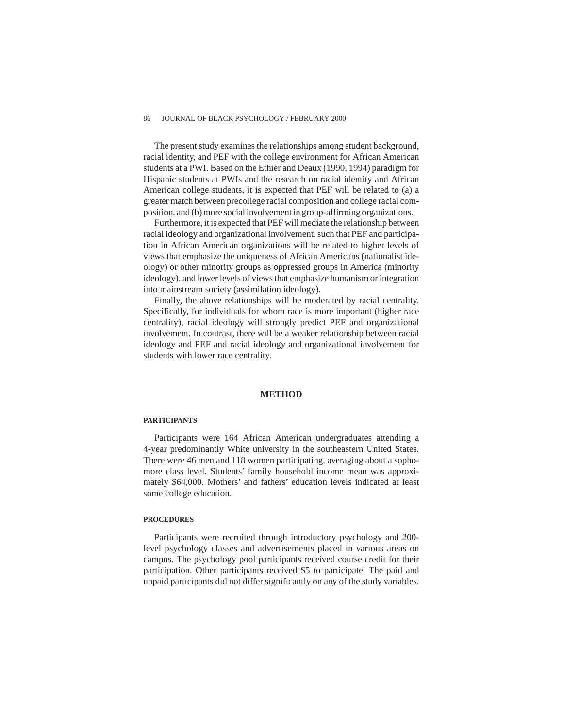The present study examines the relationships among student background, racial identity, and PEF with the college environment for African American students at a PWI. Based on the Ethier and Deaux (1990, 1994) paradigm for Hispanic students at PWIs and the research on racial identity and African American college students, it is expected that PEF will be related to (a) a greater match between precollege racial composition and college racial composition, and (b) more social involvement in group-affirming organizations.

Furthermore, it is expected that PEF will mediate the relationship between racial ideology and organizational involvement, such that PEF and participation in African American organizations will be related to higher levels of views that emphasize the uniqueness of African Americans (nationalist ideology) or other minority groups as oppressed groups in America (minority ideology), and lower levels of views that emphasize humanism or integration into mainstream society (assimilation ideology).

Finally, the above relationships will be moderated by racial centrality. Specifically, for individuals for whom race is more important (higher race centrality), racial ideology will strongly predict PEF and organizational involvement. In contrast, there will be a weaker relationship between racial ideology and PEF and racial ideology and organizational involvement for students with lower race centrality.

## **METHOD**

## **PARTICIPANTS**

Participants were 164 African American undergraduates attending a 4-year predominantly White university in the southeastern United States. There were 46 men and 118 women participating, averaging about a sophomore class level. Students' family household income mean was approximately \$64,000. Mothers' and fathers' education levels indicated at least some college education.

#### **PROCEDURES**

Participants were recruited through introductory psychology and 200 level psychology classes and advertisements placed in various areas on campus. The psychology pool participants received course credit for their participation. Other participants received \$5 to participate. The paid and unpaid participants did not differ significantly on any of the study variables.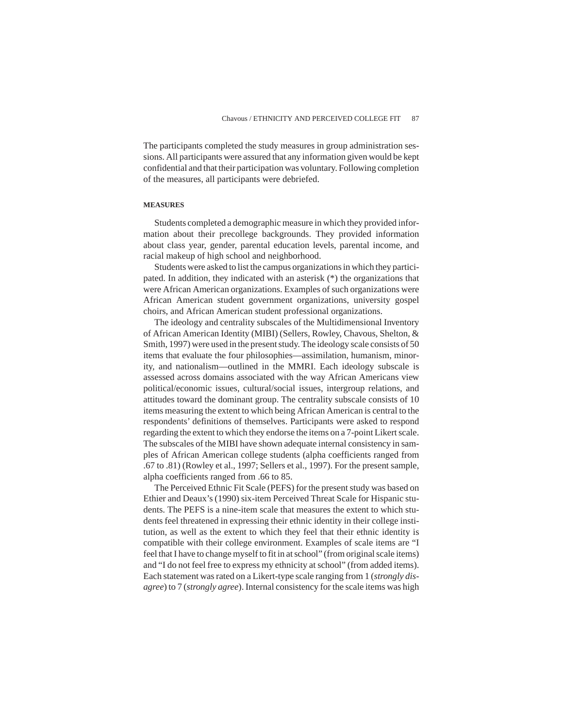The participants completed the study measures in group administration sessions. All participants were assured that any information given would be kept confidential and that their participation was voluntary. Following completion of the measures, all participants were debriefed.

## **MEASURES**

Students completed a demographic measure in which they provided information about their precollege backgrounds. They provided information about class year, gender, parental education levels, parental income, and racial makeup of high school and neighborhood.

Students were asked to list the campus organizations in which they participated. In addition, they indicated with an asterisk (\*) the organizations that were African American organizations. Examples of such organizations were African American student government organizations, university gospel choirs, and African American student professional organizations.

The ideology and centrality subscales of the Multidimensional Inventory of African American Identity (MIBI) (Sellers, Rowley, Chavous, Shelton, & Smith, 1997) were used in the present study. The ideology scale consists of 50 items that evaluate the four philosophies—assimilation, humanism, minority, and nationalism—outlined in the MMRI. Each ideology subscale is assessed across domains associated with the way African Americans view political/economic issues, cultural/social issues, intergroup relations, and attitudes toward the dominant group. The centrality subscale consists of 10 items measuring the extent to which being African American is central to the respondents' definitions of themselves. Participants were asked to respond regarding the extent to which they endorse the items on a 7-point Likert scale. The subscales of the MIBI have shown adequate internal consistency in samples of African American college students (alpha coefficients ranged from .67 to .81) (Rowley et al., 1997; Sellers et al., 1997). For the present sample, alpha coefficients ranged from .66 to 85.

The Perceived Ethnic Fit Scale (PEFS) for the present study was based on Ethier and Deaux's (1990) six-item Perceived Threat Scale for Hispanic students. The PEFS is a nine-item scale that measures the extent to which students feel threatened in expressing their ethnic identity in their college institution, as well as the extent to which they feel that their ethnic identity is compatible with their college environment. Examples of scale items are "I feel that I have to change myself to fit in at school" (from original scale items) and "I do not feel free to express my ethnicity at school" (from added items). Each statement was rated on a Likert-type scale ranging from 1 (*strongly disagree*) to 7 (*strongly agree*). Internal consistency for the scale items was high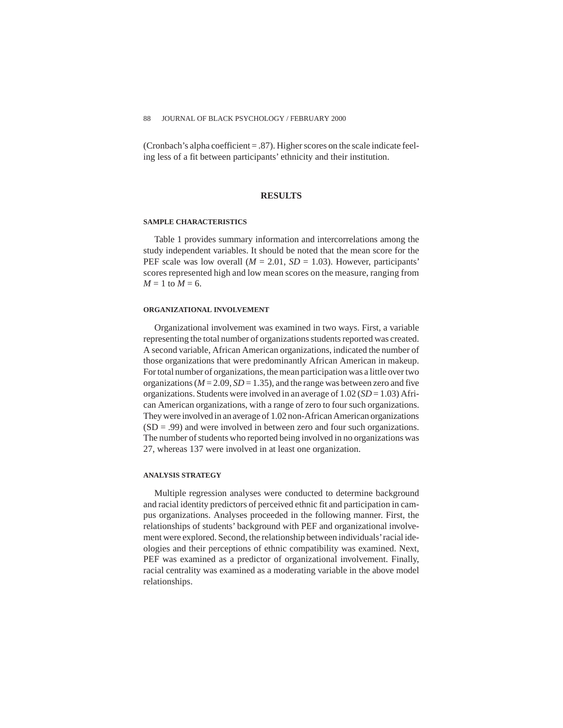(Cronbach's alpha coefficient = .87). Higher scores on the scale indicate feeling less of a fit between participants' ethnicity and their institution.

## **RESULTS**

## **SAMPLE CHARACTERISTICS**

Table 1 provides summary information and intercorrelations among the study independent variables. It should be noted that the mean score for the PEF scale was low overall  $(M = 2.01, SD = 1.03)$ . However, participants' scores represented high and low mean scores on the measure, ranging from  $M = 1$  to  $M = 6$ .

## **ORGANIZATIONAL INVOLVEMENT**

Organizational involvement was examined in two ways. First, a variable representing the total number of organizations students reported was created. A second variable, African American organizations, indicated the number of those organizations that were predominantly African American in makeup. For total number of organizations, the mean participation was a little over two organizations ( $M = 2.09$ ,  $SD = 1.35$ ), and the range was between zero and five organizations. Students were involved in an average of 1.02 (*SD* = 1.03) African American organizations, with a range of zero to four such organizations. They were involved in an average of 1.02 non-African American organizations  $(SD = .99)$  and were involved in between zero and four such organizations. The number of students who reported being involved in no organizations was 27, whereas 137 were involved in at least one organization.

## **ANALYSIS STRATEGY**

Multiple regression analyses were conducted to determine background and racial identity predictors of perceived ethnic fit and participation in campus organizations. Analyses proceeded in the following manner. First, the relationships of students' background with PEF and organizational involvement were explored. Second, the relationship between individuals'racial ideologies and their perceptions of ethnic compatibility was examined. Next, PEF was examined as a predictor of organizational involvement. Finally, racial centrality was examined as a moderating variable in the above model relationships.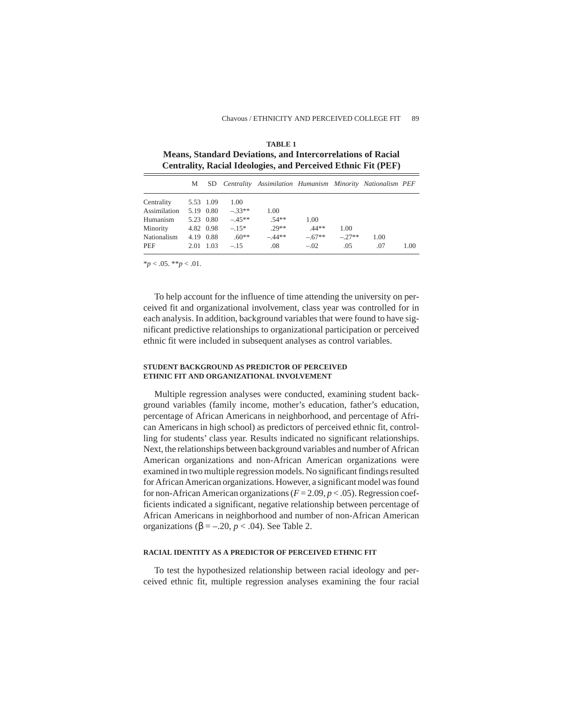**TABLE 1 Means, Standard Deviations, and Intercorrelations of Racial Centrality, Racial Ideologies, and Perceived Ethnic Fit (PEF)**

|              | M |           |          | SD Centrality Assimilation Humanism Minority Nationalism PEF |          |         |      |      |
|--------------|---|-----------|----------|--------------------------------------------------------------|----------|---------|------|------|
| Centrality   |   | 5.53 1.09 | 1.00     |                                                              |          |         |      |      |
| Assimilation |   | 5.19 0.80 | $-.33**$ | 1.00                                                         |          |         |      |      |
| Humanism     |   | 5.23 0.80 | $-.45**$ | $.54**$                                                      | 1.00     |         |      |      |
| Minority     |   | 4.82 0.98 | $-.15*$  | $.29**$                                                      | $.44**$  | 1.00    |      |      |
| Nationalism  |   | 4.19 0.88 | $.60**$  | $-.44**$                                                     | $-.67**$ | $-27**$ | 1.00 |      |
| <b>PEF</b>   |   | 2.01 1.03 | $-.15$   | .08                                                          | $-.02$   | .05     | .07  | 1.00 |

\**p* < .05. \*\**p* < .01.

To help account for the influence of time attending the university on perceived fit and organizational involvement, class year was controlled for in each analysis. In addition, background variables that were found to have significant predictive relationships to organizational participation or perceived ethnic fit were included in subsequent analyses as control variables.

## **STUDENT BACKGROUND AS PREDICTOR OF PERCEIVED ETHNIC FIT AND ORGANIZATIONAL INVOLVEMENT**

Multiple regression analyses were conducted, examining student background variables (family income, mother's education, father's education, percentage of African Americans in neighborhood, and percentage of African Americans in high school) as predictors of perceived ethnic fit, controlling for students' class year. Results indicated no significant relationships. Next, the relationships between background variables and number of African American organizations and non-African American organizations were examined in two multiple regression models. No significant findings resulted for African American organizations. However, a significant model was found for non-African American organizations (*F* = 2.09, *p* < .05). Regression coefficients indicated a significant, negative relationship between percentage of African Americans in neighborhood and number of non-African American organizations ( $\beta = -.20, p < .04$ ). See Table 2.

## **RACIAL IDENTITY AS A PREDICTOR OF PERCEIVED ETHNIC FIT**

To test the hypothesized relationship between racial ideology and perceived ethnic fit, multiple regression analyses examining the four racial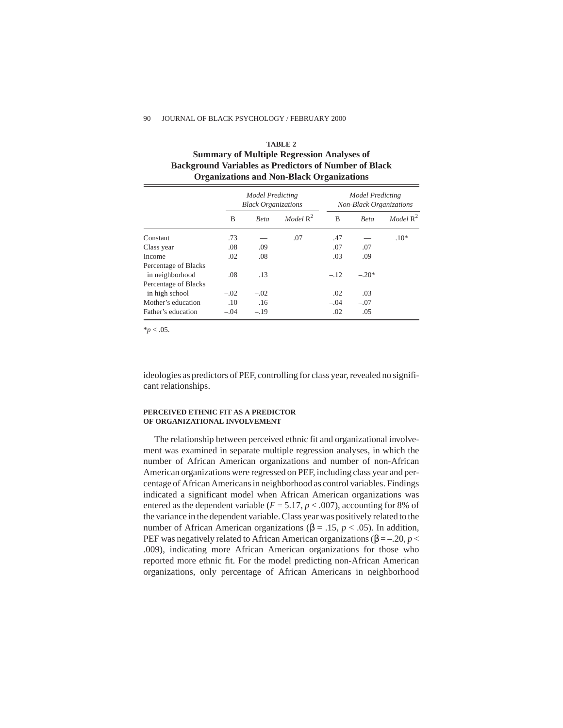| <b>TABLE 2</b>                                               |
|--------------------------------------------------------------|
| <b>Summary of Multiple Regression Analyses of</b>            |
| <b>Background Variables as Predictors of Number of Black</b> |
| <b>Organizations and Non-Black Organizations</b>             |

|                      |        | <b>Model Predicting</b><br><b>Black Organizations</b> |             |        |             | <b>Model Predicting</b><br>Non-Black Organizations |  |  |
|----------------------|--------|-------------------------------------------------------|-------------|--------|-------------|----------------------------------------------------|--|--|
|                      | B      | <b>Beta</b>                                           | Model $R^2$ | R      | <b>Beta</b> | Model R <sup>2</sup>                               |  |  |
| Constant             | .73    |                                                       | .07         | .47    |             | $.10*$                                             |  |  |
| Class year           | .08    | .09                                                   |             | .07    | .07         |                                                    |  |  |
| Income               | .02    | .08                                                   |             | .03    | .09         |                                                    |  |  |
| Percentage of Blacks |        |                                                       |             |        |             |                                                    |  |  |
| in neighborhood      | .08    | .13                                                   |             | $-.12$ | $-.20*$     |                                                    |  |  |
| Percentage of Blacks |        |                                                       |             |        |             |                                                    |  |  |
| in high school       | $-.02$ | $-.02$                                                |             | .02    | .03         |                                                    |  |  |
| Mother's education   | .10    | .16                                                   |             | $-.04$ | $-.07$      |                                                    |  |  |
| Father's education   | $-.04$ | $-.19$                                                |             | .02    | .05         |                                                    |  |  |

\**p* < .05.

ideologies as predictors of PEF, controlling for class year, revealed no significant relationships.

#### **PERCEIVED ETHNIC FIT AS A PREDICTOR OF ORGANIZATIONAL INVOLVEMENT**

The relationship between perceived ethnic fit and organizational involvement was examined in separate multiple regression analyses, in which the number of African American organizations and number of non-African American organizations were regressed on PEF, including class year and percentage of African Americans in neighborhood as control variables. Findings indicated a significant model when African American organizations was entered as the dependent variable ( $F = 5.17$ ,  $p < .007$ ), accounting for 8% of the variance in the dependent variable. Class year was positively related to the number of African American organizations (β = .15,  $p < .05$ ). In addition, PEF was negatively related to African American organizations ( $β = -.20, p <$ .009), indicating more African American organizations for those who reported more ethnic fit. For the model predicting non-African American organizations, only percentage of African Americans in neighborhood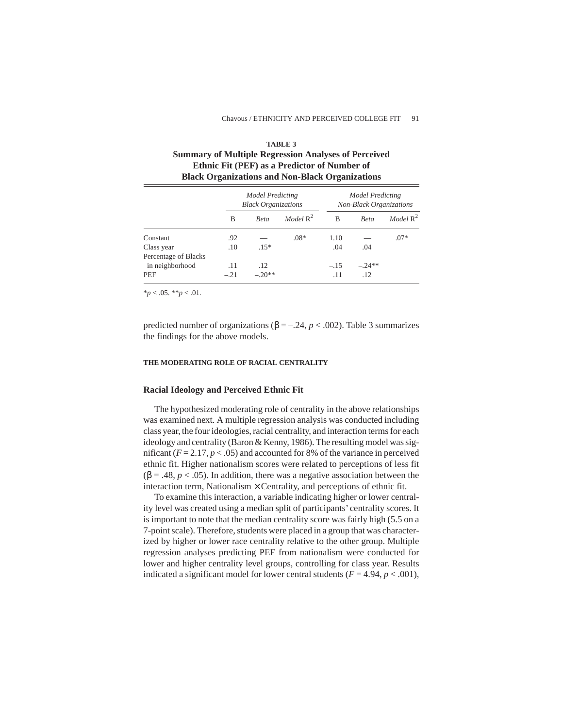| TABLE 3                                                     |
|-------------------------------------------------------------|
| <b>Summary of Multiple Regression Analyses of Perceived</b> |
| Ethnic Fit (PEF) as a Predictor of Number of                |
| <b>Black Organizations and Non-Black Organizations</b>      |

|                      |        | <b>Model Predicting</b><br><b>Black Organizations</b> |             |        |             | <b>Model Predicting</b><br>Non-Black Organizations |  |  |
|----------------------|--------|-------------------------------------------------------|-------------|--------|-------------|----------------------------------------------------|--|--|
|                      | B      | <b>Beta</b>                                           | Model $R^2$ | B      | <b>Beta</b> | Model $R^2$                                        |  |  |
| Constant             | .92    |                                                       | $.08*$      | 1.10   |             | $.07*$                                             |  |  |
| Class year           | .10    | $.15*$                                                |             | .04    | .04         |                                                    |  |  |
| Percentage of Blacks |        |                                                       |             |        |             |                                                    |  |  |
| in neighborhood      | .11    | .12                                                   |             | $-.15$ | $-.24**$    |                                                    |  |  |
| PEF                  | $-.21$ | $-.20**$                                              |             | .11    | .12         |                                                    |  |  |

\**p* < .05. \*\**p* < .01.

predicted number of organizations  $(\beta = -0.24, p < 0.002)$ . Table 3 summarizes the findings for the above models.

## **THE MODERATING ROLE OF RACIAL CENTRALITY**

## **Racial Ideology and Perceived Ethnic Fit**

The hypothesized moderating role of centrality in the above relationships was examined next. A multiple regression analysis was conducted including class year, the four ideologies, racial centrality, and interaction terms for each ideology and centrality (Baron & Kenny, 1986). The resulting model was significant  $(F = 2.17, p < .05)$  and accounted for 8% of the variance in perceived ethnic fit. Higher nationalism scores were related to perceptions of less fit  $(\beta = .48, p < .05)$ . In addition, there was a negative association between the interaction term, Nationalism  $\times$  Centrality, and perceptions of ethnic fit.

To examine this interaction, a variable indicating higher or lower centrality level was created using a median split of participants' centrality scores. It is important to note that the median centrality score was fairly high (5.5 on a 7-point scale). Therefore, students were placed in a group that was characterized by higher or lower race centrality relative to the other group. Multiple regression analyses predicting PEF from nationalism were conducted for lower and higher centrality level groups, controlling for class year. Results indicated a significant model for lower central students  $(F = 4.94, p < .001)$ ,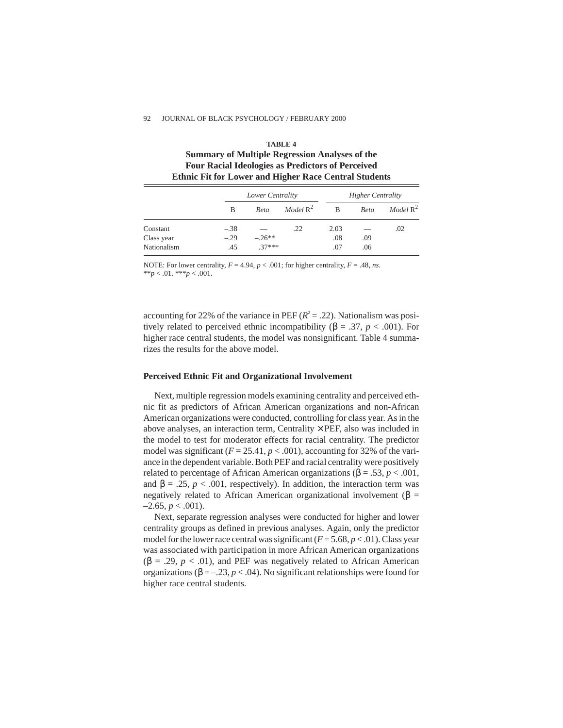**TABLE 4 Summary of Multiple Regression Analyses of the Four Racial Ideologies as Predictors of Perceived Ethnic Fit for Lower and Higher Race Central Students**

|             |        | Lower Centrality |                      |      | <b>Higher Centrality</b> |                      |  |
|-------------|--------|------------------|----------------------|------|--------------------------|----------------------|--|
|             | B      | <b>Beta</b>      | Model $\mathbb{R}^2$ | R    | <b>Beta</b>              | Model $\mathbb{R}^2$ |  |
| Constant    | $-.38$ |                  | .22                  | 2.03 |                          | .02                  |  |
| Class year  | $-.29$ | $-.26**$         |                      | .08  | .09                      |                      |  |
| Nationalism | .45    | $37***$          |                      | .07  | .06                      |                      |  |

NOTE: For lower centrality,  $F = 4.94$ ,  $p < .001$ ; for higher centrality,  $F = .48$ , *ns*. \*\**p* < .01. \*\*\**p* < .001.

accounting for 22% of the variance in PEF  $(R^2 = .22)$ . Nationalism was positively related to perceived ethnic incompatibility ( $\beta = .37$ ,  $p < .001$ ). For higher race central students, the model was nonsignificant. Table 4 summarizes the results for the above model.

## **Perceived Ethnic Fit and Organizational Involvement**

Next, multiple regression models examining centrality and perceived ethnic fit as predictors of African American organizations and non-African American organizations were conducted, controlling for class year. As in the above analyses, an interaction term, Centrality  $\times$  PEF, also was included in the model to test for moderator effects for racial centrality. The predictor model was significant  $(F = 25.41, p < .001)$ , accounting for 32% of the variance in the dependent variable. Both PEF and racial centrality were positively related to percentage of African American organizations  $(\beta = .53, p < .001,$ and  $\beta = .25$ ,  $p < .001$ , respectively). In addition, the interaction term was negatively related to African American organizational involvement ( $\beta$  =  $-2.65, p < .001$ ).

Next, separate regression analyses were conducted for higher and lower centrality groups as defined in previous analyses. Again, only the predictor model for the lower race central was significant  $(F = 5.68, p < .01)$ . Class year was associated with participation in more African American organizations (β = .29, *p* < .01), and PEF was negatively related to African American organizations ( $\beta = -23$ ,  $p < .04$ ). No significant relationships were found for higher race central students.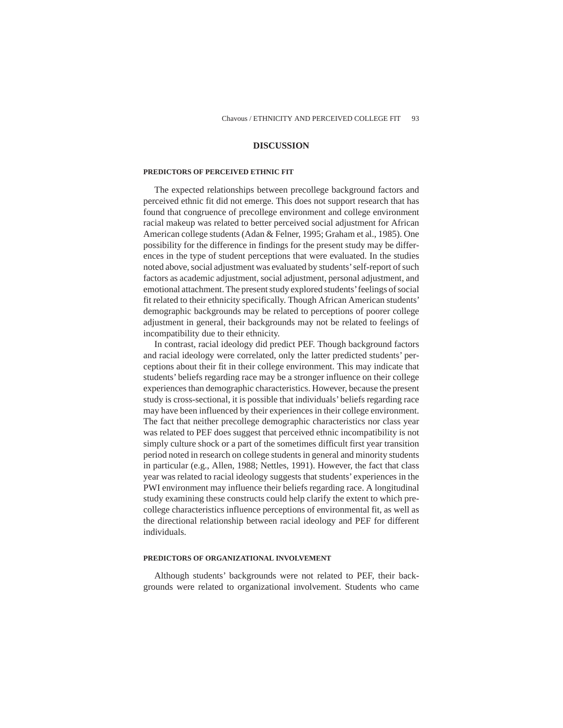## **DISCUSSION**

#### **PREDICTORS OF PERCEIVED ETHNIC FIT**

The expected relationships between precollege background factors and perceived ethnic fit did not emerge. This does not support research that has found that congruence of precollege environment and college environment racial makeup was related to better perceived social adjustment for African American college students (Adan & Felner, 1995; Graham et al., 1985). One possibility for the difference in findings for the present study may be differences in the type of student perceptions that were evaluated. In the studies noted above, social adjustment was evaluated by students'self-report of such factors as academic adjustment, social adjustment, personal adjustment, and emotional attachment. The present study explored students'feelings of social fit related to their ethnicity specifically. Though African American students' demographic backgrounds may be related to perceptions of poorer college adjustment in general, their backgrounds may not be related to feelings of incompatibility due to their ethnicity.

In contrast, racial ideology did predict PEF. Though background factors and racial ideology were correlated, only the latter predicted students' perceptions about their fit in their college environment. This may indicate that students' beliefs regarding race may be a stronger influence on their college experiences than demographic characteristics. However, because the present study is cross-sectional, it is possible that individuals' beliefs regarding race may have been influenced by their experiences in their college environment. The fact that neither precollege demographic characteristics nor class year was related to PEF does suggest that perceived ethnic incompatibility is not simply culture shock or a part of the sometimes difficult first year transition period noted in research on college students in general and minority students in particular (e.g., Allen, 1988; Nettles, 1991). However, the fact that class year was related to racial ideology suggests that students' experiences in the PWI environment may influence their beliefs regarding race. A longitudinal study examining these constructs could help clarify the extent to which precollege characteristics influence perceptions of environmental fit, as well as the directional relationship between racial ideology and PEF for different individuals.

#### **PREDICTORS OF ORGANIZATIONAL INVOLVEMENT**

Although students' backgrounds were not related to PEF, their backgrounds were related to organizational involvement. Students who came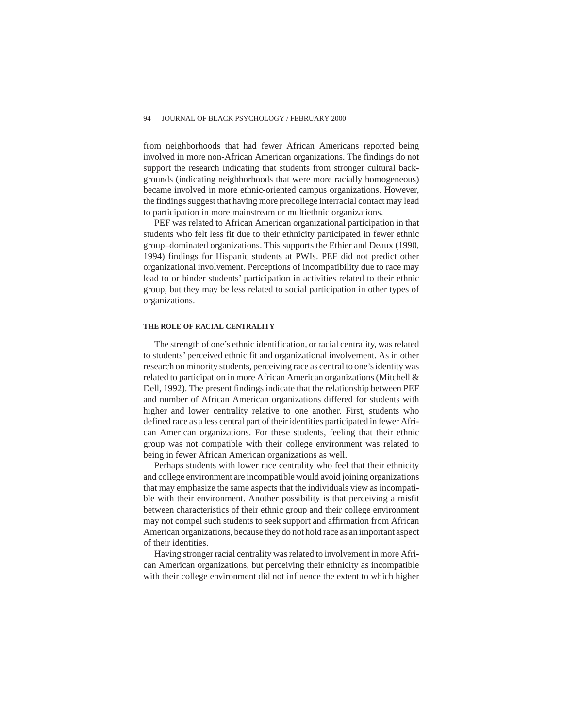from neighborhoods that had fewer African Americans reported being involved in more non-African American organizations. The findings do not support the research indicating that students from stronger cultural backgrounds (indicating neighborhoods that were more racially homogeneous) became involved in more ethnic-oriented campus organizations. However, the findings suggest that having more precollege interracial contact may lead to participation in more mainstream or multiethnic organizations.

PEF was related to African American organizational participation in that students who felt less fit due to their ethnicity participated in fewer ethnic group–dominated organizations. This supports the Ethier and Deaux (1990, 1994) findings for Hispanic students at PWIs. PEF did not predict other organizational involvement. Perceptions of incompatibility due to race may lead to or hinder students' participation in activities related to their ethnic group, but they may be less related to social participation in other types of organizations.

## **THE ROLE OF RACIAL CENTRALITY**

The strength of one's ethnic identification, or racial centrality, was related to students' perceived ethnic fit and organizational involvement. As in other research on minority students, perceiving race as central to one's identity was related to participation in more African American organizations (Mitchell & Dell, 1992). The present findings indicate that the relationship between PEF and number of African American organizations differed for students with higher and lower centrality relative to one another. First, students who defined race as a less central part of their identities participated in fewer African American organizations. For these students, feeling that their ethnic group was not compatible with their college environment was related to being in fewer African American organizations as well.

Perhaps students with lower race centrality who feel that their ethnicity and college environment are incompatible would avoid joining organizations that may emphasize the same aspects that the individuals view as incompatible with their environment. Another possibility is that perceiving a misfit between characteristics of their ethnic group and their college environment may not compel such students to seek support and affirmation from African American organizations, because they do not hold race as an important aspect of their identities.

Having stronger racial centrality was related to involvement in more African American organizations, but perceiving their ethnicity as incompatible with their college environment did not influence the extent to which higher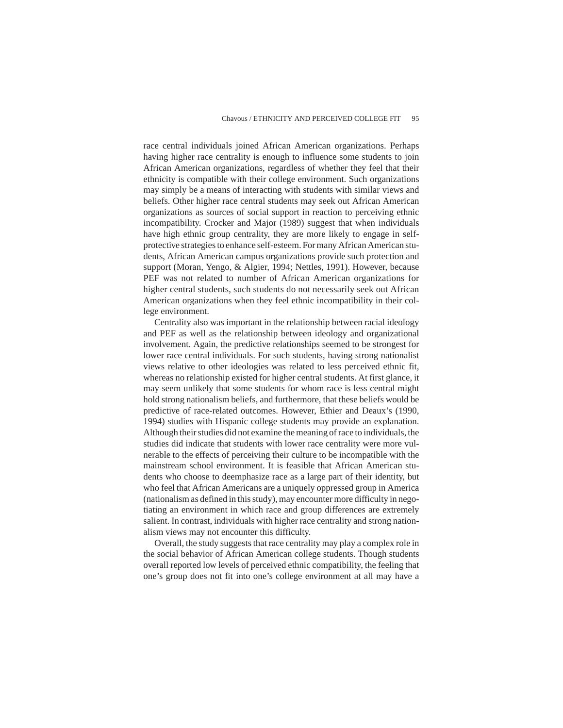race central individuals joined African American organizations. Perhaps having higher race centrality is enough to influence some students to join African American organizations, regardless of whether they feel that their ethnicity is compatible with their college environment. Such organizations may simply be a means of interacting with students with similar views and beliefs. Other higher race central students may seek out African American organizations as sources of social support in reaction to perceiving ethnic incompatibility. Crocker and Major (1989) suggest that when individuals have high ethnic group centrality, they are more likely to engage in selfprotective strategies to enhance self-esteem. For many African American students, African American campus organizations provide such protection and support (Moran, Yengo, & Algier, 1994; Nettles, 1991). However, because PEF was not related to number of African American organizations for higher central students, such students do not necessarily seek out African American organizations when they feel ethnic incompatibility in their college environment.

Centrality also was important in the relationship between racial ideology and PEF as well as the relationship between ideology and organizational involvement. Again, the predictive relationships seemed to be strongest for lower race central individuals. For such students, having strong nationalist views relative to other ideologies was related to less perceived ethnic fit, whereas no relationship existed for higher central students. At first glance, it may seem unlikely that some students for whom race is less central might hold strong nationalism beliefs, and furthermore, that these beliefs would be predictive of race-related outcomes. However, Ethier and Deaux's (1990, 1994) studies with Hispanic college students may provide an explanation. Although their studies did not examine the meaning of race to individuals, the studies did indicate that students with lower race centrality were more vulnerable to the effects of perceiving their culture to be incompatible with the mainstream school environment. It is feasible that African American students who choose to deemphasize race as a large part of their identity, but who feel that African Americans are a uniquely oppressed group in America (nationalism as defined in this study), may encounter more difficulty in negotiating an environment in which race and group differences are extremely salient. In contrast, individuals with higher race centrality and strong nationalism views may not encounter this difficulty.

Overall, the study suggests that race centrality may play a complex role in the social behavior of African American college students. Though students overall reported low levels of perceived ethnic compatibility, the feeling that one's group does not fit into one's college environment at all may have a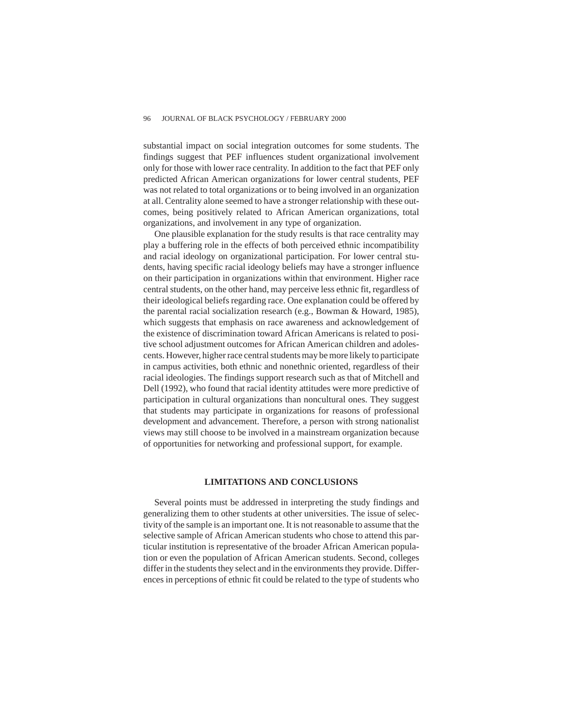substantial impact on social integration outcomes for some students. The findings suggest that PEF influences student organizational involvement only for those with lower race centrality. In addition to the fact that PEF only predicted African American organizations for lower central students, PEF was not related to total organizations or to being involved in an organization at all. Centrality alone seemed to have a stronger relationship with these outcomes, being positively related to African American organizations, total organizations, and involvement in any type of organization.

One plausible explanation for the study results is that race centrality may play a buffering role in the effects of both perceived ethnic incompatibility and racial ideology on organizational participation. For lower central students, having specific racial ideology beliefs may have a stronger influence on their participation in organizations within that environment. Higher race central students, on the other hand, may perceive less ethnic fit, regardless of their ideological beliefs regarding race. One explanation could be offered by the parental racial socialization research (e.g., Bowman & Howard, 1985), which suggests that emphasis on race awareness and acknowledgement of the existence of discrimination toward African Americans is related to positive school adjustment outcomes for African American children and adolescents. However, higher race central students may be more likely to participate in campus activities, both ethnic and nonethnic oriented, regardless of their racial ideologies. The findings support research such as that of Mitchell and Dell (1992), who found that racial identity attitudes were more predictive of participation in cultural organizations than noncultural ones. They suggest that students may participate in organizations for reasons of professional development and advancement. Therefore, a person with strong nationalist views may still choose to be involved in a mainstream organization because of opportunities for networking and professional support, for example.

## **LIMITATIONS AND CONCLUSIONS**

Several points must be addressed in interpreting the study findings and generalizing them to other students at other universities. The issue of selectivity of the sample is an important one. It is not reasonable to assume that the selective sample of African American students who chose to attend this particular institution is representative of the broader African American population or even the population of African American students. Second, colleges differ in the students they select and in the environments they provide. Differences in perceptions of ethnic fit could be related to the type of students who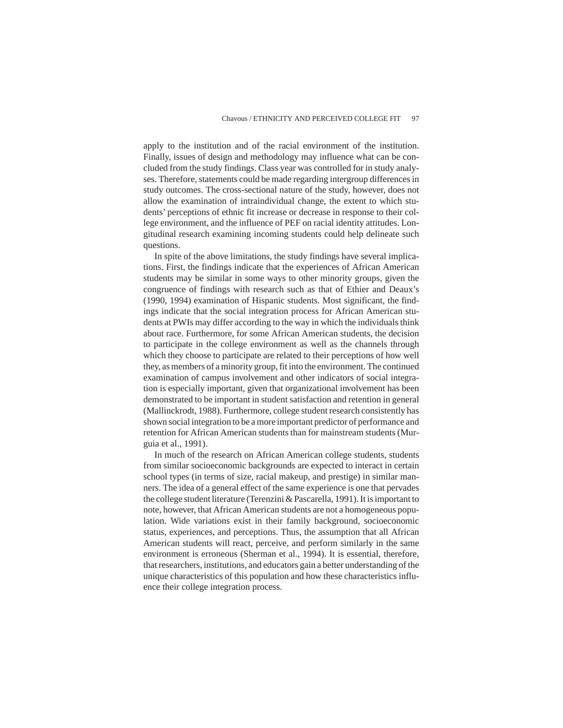apply to the institution and of the racial environment of the institution. Finally, issues of design and methodology may influence what can be concluded from the study findings. Class year was controlled for in study analyses. Therefore, statements could be made regarding intergroup differences in study outcomes. The cross-sectional nature of the study, however, does not allow the examination of intraindividual change, the extent to which students' perceptions of ethnic fit increase or decrease in response to their college environment, and the influence of PEF on racial identity attitudes. Longitudinal research examining incoming students could help delineate such questions.

In spite of the above limitations, the study findings have several implications. First, the findings indicate that the experiences of African American students may be similar in some ways to other minority groups, given the congruence of findings with research such as that of Ethier and Deaux's (1990, 1994) examination of Hispanic students. Most significant, the findings indicate that the social integration process for African American students at PWIs may differ according to the way in which the individuals think about race. Furthermore, for some African American students, the decision to participate in the college environment as well as the channels through which they choose to participate are related to their perceptions of how well they, as members of a minority group, fit into the environment. The continued examination of campus involvement and other indicators of social integration is especially important, given that organizational involvement has been demonstrated to be important in student satisfaction and retention in general (Mallinckrodt, 1988). Furthermore, college student research consistently has shown social integration to be a more important predictor of performance and retention for African American students than for mainstream students (Murguia et al., 1991).

In much of the research on African American college students, students from similar socioeconomic backgrounds are expected to interact in certain school types (in terms of size, racial makeup, and prestige) in similar manners. The idea of a general effect of the same experience is one that pervades the college student literature (Terenzini & Pascarella, 1991). It is important to note, however, that African American students are not a homogeneous population. Wide variations exist in their family background, socioeconomic status, experiences, and perceptions. Thus, the assumption that all African American students will react, perceive, and perform similarly in the same environment is erroneous (Sherman et al., 1994). It is essential, therefore, that researchers, institutions, and educators gain a better understanding of the unique characteristics of this population and how these characteristics influence their college integration process.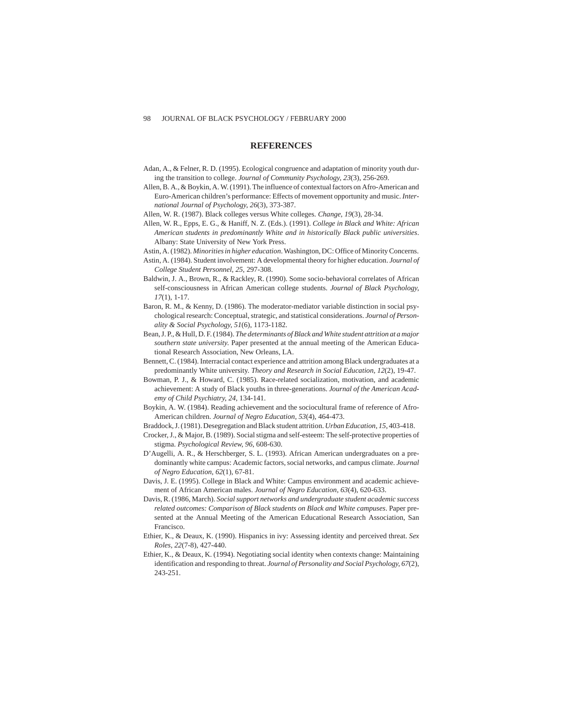#### **REFERENCES**

- Adan, A., & Felner, R. D. (1995). Ecological congruence and adaptation of minority youth during the transition to college. *Journal of Community Psychology*, *23*(3), 256-269.
- Allen, B. A., & Boykin, A. W. (1991). The influence of contextual factors on Afro-American and Euro-American children's performance: Effects of movement opportunity and music. *International Journal of Psychology*, *26*(3), 373-387.
- Allen, W. R. (1987). Black colleges versus White colleges. *Change*, *19*(3), 28-34.
- Allen, W. R., Epps, E. G., & Haniff, N. Z. (Eds.). (1991). *College in Black and White: African American students in predominantly White and in historically Black public universities*. Albany: State University of New York Press.
- Astin, A. (1982). *Minorities in higher education*. Washington, DC: Office of Minority Concerns.
- Astin, A. (1984). Student involvement: A developmental theory for higher education. *Journal of College Student Personnel*, *25*, 297-308.
- Baldwin, J. A., Brown, R., & Rackley, R. (1990). Some socio-behavioral correlates of African self-consciousness in African American college students. *Journal of Black Psychology*, *17*(1), 1-17.
- Baron, R. M., & Kenny, D. (1986). The moderator-mediator variable distinction in social psychological research: Conceptual, strategic, and statistical considerations. *Journal of Personality & Social Psychology*, *51*(6), 1173-1182.
- Bean, J. P., & Hull, D. F. (1984). *The determinants of Black and White student attrition at a major southern state university*. Paper presented at the annual meeting of the American Educational Research Association, New Orleans, LA.
- Bennett, C. (1984). Interracial contact experience and attrition among Black undergraduates at a predominantly White university. *Theory and Research in Social Education*, *12*(2), 19-47.
- Bowman, P. J., & Howard, C. (1985). Race-related socialization, motivation, and academic achievement: A study of Black youths in three-generations. *Journal of the American Academy of Child Psychiatry*, *24*, 134-141.
- Boykin, A. W. (1984). Reading achievement and the sociocultural frame of reference of Afro-American children. *Journal of Negro Education*, *53*(4), 464-473.
- Braddock, J. (1981). Desegregation and Black student attrition. *Urban Education*, *15*, 403-418.
- Crocker, J., & Major, B. (1989). Social stigma and self-esteem: The self-protective properties of stigma. *Psychological Review*, *96*, 608-630.
- D'Augelli, A. R., & Herschberger, S. L. (1993). African American undergraduates on a predominantly white campus: Academic factors, social networks, and campus climate. *Journal of Negro Education*, *62*(1), 67-81.
- Davis, J. E. (1995). College in Black and White: Campus environment and academic achievement of African American males. *Journal of Negro Education*, *63*(4), 620-633.
- Davis, R. (1986, March). *Social support networks and undergraduate student academic success related outcomes: Comparison of Black students on Black and White campuses*. Paper presented at the Annual Meeting of the American Educational Research Association, San Francisco.
- Ethier, K., & Deaux, K. (1990). Hispanics in ivy: Assessing identity and perceived threat. *Sex Roles*, *22*(7-8), 427-440.
- Ethier, K., & Deaux, K. (1994). Negotiating social identity when contexts change: Maintaining identification and responding to threat. *Journal of Personality and Social Psychology*, *67*(2), 243-251.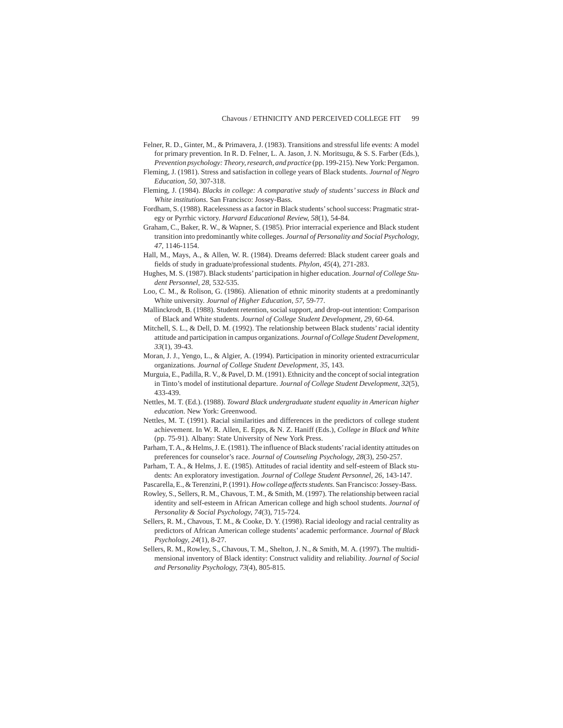- Felner, R. D., Ginter, M., & Primavera, J. (1983). Transitions and stressful life events: A model for primary prevention. In R. D. Felner, L. A. Jason, J. N. Moritsugu, & S. S. Farber (Eds.), *Prevention psychology: Theory, research, and practice* (pp. 199-215). New York: Pergamon.
- Fleming, J. (1981). Stress and satisfaction in college years of Black students. *Journal of Negro Education*, *50*, 307-318.
- Fleming, J. (1984). *Blacks in college: A comparative study of students' success in Black and White institutions*. San Francisco: Jossey-Bass.
- Fordham, S. (1988). Racelessness as a factor in Black students'school success: Pragmatic strategy or Pyrrhic victory. *Harvard Educational Review*, *58*(1), 54-84.
- Graham, C., Baker, R. W., & Wapner, S. (1985). Prior interracial experience and Black student transition into predominantly white colleges. *Journal of Personality and Social Psychology*, *47*, 1146-1154.
- Hall, M., Mays, A., & Allen, W. R. (1984). Dreams deferred: Black student career goals and fields of study in graduate/professional students. *Phylon*, *45*(4), 271-283.
- Hughes, M. S. (1987). Black students'participation in higher education. *Journal of College Student Personnel*, *28*, 532-535.
- Loo, C. M., & Rolison, G. (1986). Alienation of ethnic minority students at a predominantly White university. *Journal of Higher Education*, *57*, 59-77.
- Mallinckrodt, B. (1988). Student retention, social support, and drop-out intention: Comparison of Black and White students. *Journal of College Student Development*, *29*, 60-64.
- Mitchell, S. L., & Dell, D. M. (1992). The relationship between Black students' racial identity attitude and participation in campus organizations. *Journal of College Student Development*, *33*(1), 39-43.
- Moran, J. J., Yengo, L., & Algier, A. (1994). Participation in minority oriented extracurricular organizations. *Journal of College Student Development*, *35*, 143.
- Murguia, E., Padilla, R. V., & Pavel, D. M. (1991). Ethnicity and the concept of social integration in Tinto's model of institutional departure. *Journal of College Student Development*, *32*(5), 433-439.
- Nettles, M. T. (Ed.). (1988). *Toward Black undergraduate student equality in American higher education*. New York: Greenwood.
- Nettles, M. T. (1991). Racial similarities and differences in the predictors of college student achievement. In W. R. Allen, E. Epps, & N. Z. Haniff (Eds.), *College in Black and White* (pp. 75-91). Albany: State University of New York Press.
- Parham, T. A., & Helms, J. E. (1981). The influence of Black students'racial identity attitudes on preferences for counselor's race. *Journal of Counseling Psychology*, *28*(3), 250-257.
- Parham, T. A., & Helms, J. E. (1985). Attitudes of racial identity and self-esteem of Black students: An exploratory investigation. *Journal of College Student Personnel*, *26*, 143-147.
- Pascarella, E., & Terenzini, P. (1991). *How college affects students*. San Francisco: Jossey-Bass.
- Rowley, S., Sellers, R. M., Chavous, T. M., & Smith, M. (1997). The relationship between racial identity and self-esteem in African American college and high school students. *Journal of Personality & Social Psychology*, *74*(3), 715-724.
- Sellers, R. M., Chavous, T. M., & Cooke, D. Y. (1998). Racial ideology and racial centrality as predictors of African American college students' academic performance. *Journal of Black Psychology*, *24*(1), 8-27.
- Sellers, R. M., Rowley, S., Chavous, T. M., Shelton, J. N., & Smith, M. A. (1997). The multidimensional inventory of Black identity: Construct validity and reliability. *Journal of Social and Personality Psychology*, *73*(4), 805-815.